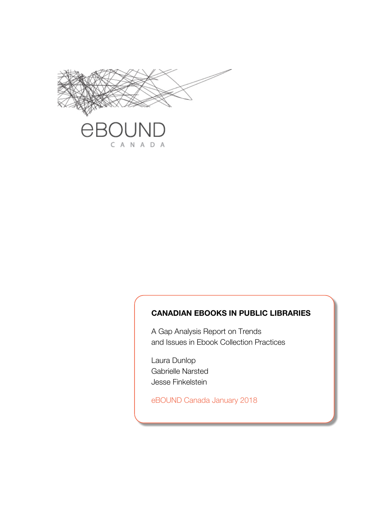

#### **CANADIAN EBOOKS IN PUBLIC LIBRARIES**

A Gap Analysis Report on Trends and Issues in Ebook Collection Practices

Laura Dunlop Gabrielle Narsted Jesse Finkelstein

eBOUND Canada January 2018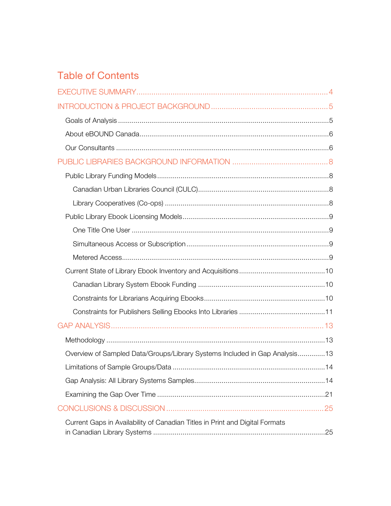# **Table of Contents**

| Overview of Sampled Data/Groups/Library Systems Included in Gap Analysis13   |  |
|------------------------------------------------------------------------------|--|
|                                                                              |  |
|                                                                              |  |
|                                                                              |  |
|                                                                              |  |
| Current Gaps in Availability of Canadian Titles in Print and Digital Formats |  |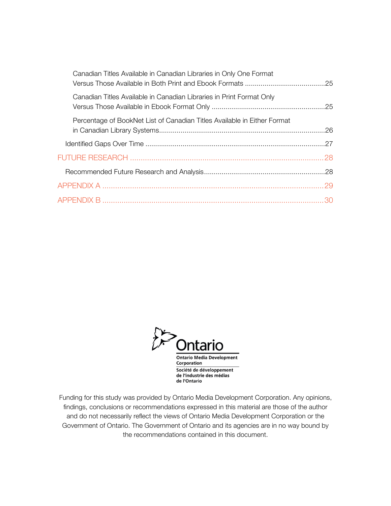| Canadian Titles Available in Canadian Libraries in Only One Format       |  |
|--------------------------------------------------------------------------|--|
| Canadian Titles Available in Canadian Libraries in Print Format Only     |  |
| Percentage of BookNet List of Canadian Titles Available in Either Format |  |
|                                                                          |  |
|                                                                          |  |
|                                                                          |  |
|                                                                          |  |
|                                                                          |  |



Funding for this study was provided by Ontario Media Development Corporation. Any opinions, findings, conclusions or recommendations expressed in this material are those of the author and do not necessarily reflect the views of Ontario Media Development Corporation or the Government of Ontario. The Government of Ontario and its agencies are in no way bound by the recommendations contained in this document.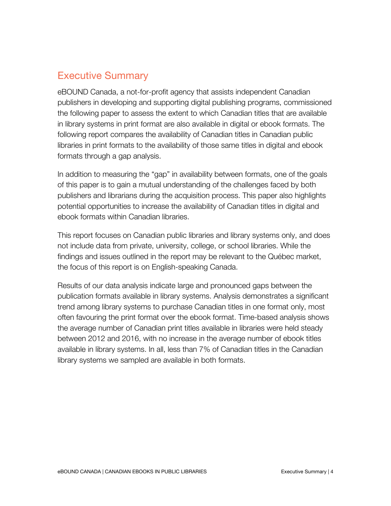## Executive Summary

eBOUND Canada, a not-for-profit agency that assists independent Canadian publishers in developing and supporting digital publishing programs, commissioned the following paper to assess the extent to which Canadian titles that are available in library systems in print format are also available in digital or ebook formats. The following report compares the availability of Canadian titles in Canadian public libraries in print formats to the availability of those same titles in digital and ebook formats through a gap analysis.

In addition to measuring the "gap" in availability between formats, one of the goals of this paper is to gain a mutual understanding of the challenges faced by both publishers and librarians during the acquisition process. This paper also highlights potential opportunities to increase the availability of Canadian titles in digital and ebook formats within Canadian libraries.

This report focuses on Canadian public libraries and library systems only, and does not include data from private, university, college, or school libraries. While the findings and issues outlined in the report may be relevant to the Québec market, the focus of this report is on English-speaking Canada.

Results of our data analysis indicate large and pronounced gaps between the publication formats available in library systems. Analysis demonstrates a significant trend among library systems to purchase Canadian titles in one format only, most often favouring the print format over the ebook format. Time-based analysis shows the average number of Canadian print titles available in libraries were held steady between 2012 and 2016, with no increase in the average number of ebook titles available in library systems. In all, less than 7% of Canadian titles in the Canadian library systems we sampled are available in both formats.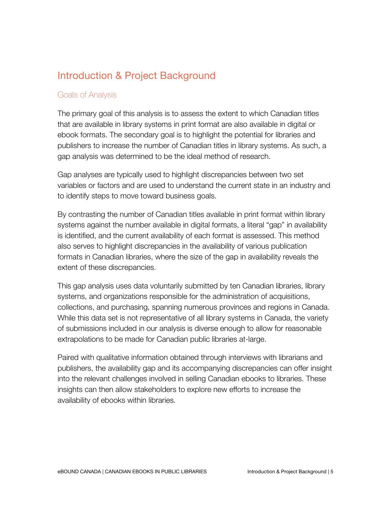## Introduction & Project Background

#### Goals of Analysis

The primary goal of this analysis is to assess the extent to which Canadian titles that are available in library systems in print format are also available in digital or ebook formats. The secondary goal is to highlight the potential for libraries and publishers to increase the number of Canadian titles in library systems. As such, a gap analysis was determined to be the ideal method of research.

Gap analyses are typically used to highlight discrepancies between two set variables or factors and are used to understand the current state in an industry and to identify steps to move toward business goals.

By contrasting the number of Canadian titles available in print format within library systems against the number available in digital formats, a literal "gap" in availability is identified, and the current availability of each format is assessed. This method also serves to highlight discrepancies in the availability of various publication formats in Canadian libraries, where the size of the gap in availability reveals the extent of these discrepancies.

This gap analysis uses data voluntarily submitted by ten Canadian libraries, library systems, and organizations responsible for the administration of acquisitions, collections, and purchasing, spanning numerous provinces and regions in Canada. While this data set is not representative of all library systems in Canada, the variety of submissions included in our analysis is diverse enough to allow for reasonable extrapolations to be made for Canadian public libraries at-large.

Paired with qualitative information obtained through interviews with librarians and publishers, the availability gap and its accompanying discrepancies can offer insight into the relevant challenges involved in selling Canadian ebooks to libraries. These insights can then allow stakeholders to explore new efforts to increase the availability of ebooks within libraries.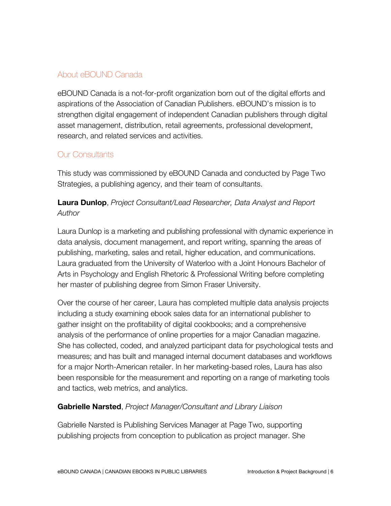### About eBOUND Canada

eBOUND Canada is a not-for-profit organization born out of the digital efforts and aspirations of the Association of Canadian Publishers. eBOUND's mission is to strengthen digital engagement of independent Canadian publishers through digital asset management, distribution, retail agreements, professional development, research, and related services and activities.

#### Our Consultants

This study was commissioned by eBOUND Canada and conducted by Page Two Strategies, a publishing agency, and their team of consultants.

**Laura Dunlop**, *Project Consultant/Lead Researcher, Data Analyst and Report Author*

Laura Dunlop is a marketing and publishing professional with dynamic experience in data analysis, document management, and report writing, spanning the areas of publishing, marketing, sales and retail, higher education, and communications. Laura graduated from the University of Waterloo with a Joint Honours Bachelor of Arts in Psychology and English Rhetoric & Professional Writing before completing her master of publishing degree from Simon Fraser University.

Over the course of her career, Laura has completed multiple data analysis projects including a study examining ebook sales data for an international publisher to gather insight on the profitability of digital cookbooks; and a comprehensive analysis of the performance of online properties for a major Canadian magazine. She has collected, coded, and analyzed participant data for psychological tests and measures; and has built and managed internal document databases and workflows for a major North-American retailer. In her marketing-based roles, Laura has also been responsible for the measurement and reporting on a range of marketing tools and tactics, web metrics, and analytics.

#### **Gabrielle Narsted**, *Project Manager/Consultant and Library Liaison*

Gabrielle Narsted is Publishing Services Manager at Page Two, supporting publishing projects from conception to publication as project manager. She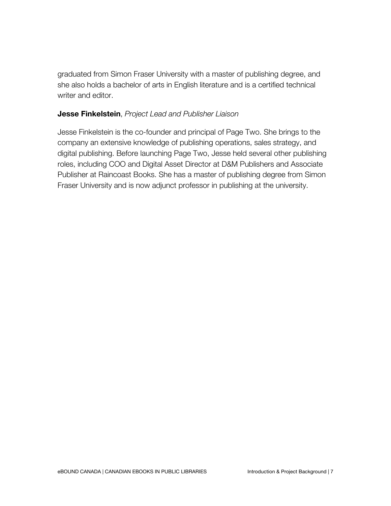graduated from Simon Fraser University with a master of publishing degree, and she also holds a bachelor of arts in English literature and is a certified technical writer and editor.

#### **Jesse Finkelstein**, *Project Lead and Publisher Liaison*

Jesse Finkelstein is the co-founder and principal of Page Two. She brings to the company an extensive knowledge of publishing operations, sales strategy, and digital publishing. Before launching Page Two, Jesse held several other publishing roles, including COO and Digital Asset Director at D&M Publishers and Associate Publisher at Raincoast Books. She has a master of publishing degree from Simon Fraser University and is now adjunct professor in publishing at the university.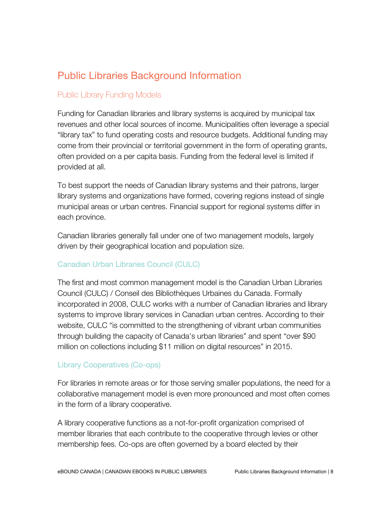# Public Libraries Background Information

#### Public Library Funding Models

Funding for Canadian libraries and library systems is acquired by municipal tax revenues and other local sources of income. Municipalities often leverage a special "library tax" to fund operating costs and resource budgets. Additional funding may come from their provincial or territorial government in the form of operating grants, often provided on a per capita basis. Funding from the federal level is limited if provided at all.

To best support the needs of Canadian library systems and their patrons, larger library systems and organizations have formed, covering regions instead of single municipal areas or urban centres. Financial support for regional systems differ in each province.

Canadian libraries generally fall under one of two management models, largely driven by their geographical location and population size.

#### Canadian Urban Libraries Council (CULC)

The first and most common management model is the Canadian Urban Libraries Council (CULC) / Conseil des Bibliothèques Urbaines du Canada. Formally incorporated in 2008, CULC works with a number of Canadian libraries and library systems to improve library services in Canadian urban centres. According to their website, CULC "is committed to the strengthening of vibrant urban communities through building the capacity of Canada's urban libraries" and spent "over \$90 million on collections including \$11 million on digital resources" in 2015.

#### Library Cooperatives (Co-ops)

For libraries in remote areas or for those serving smaller populations, the need for a collaborative management model is even more pronounced and most often comes in the form of a library cooperative.

A library cooperative functions as a not-for-profit organization comprised of member libraries that each contribute to the cooperative through levies or other membership fees. Co-ops are often governed by a board elected by their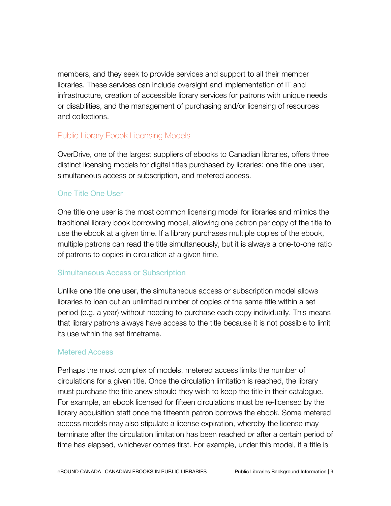members, and they seek to provide services and support to all their member libraries. These services can include oversight and implementation of IT and infrastructure, creation of accessible library services for patrons with unique needs or disabilities, and the management of purchasing and/or licensing of resources and collections.

#### Public Library Ebook Licensing Models

OverDrive, one of the largest suppliers of ebooks to Canadian libraries, offers three distinct licensing models for digital titles purchased by libraries: one title one user, simultaneous access or subscription, and metered access.

#### One Title One User

One title one user is the most common licensing model for libraries and mimics the traditional library book borrowing model, allowing one patron per copy of the title to use the ebook at a given time. If a library purchases multiple copies of the ebook, multiple patrons can read the title simultaneously, but it is always a one-to-one ratio of patrons to copies in circulation at a given time.

#### Simultaneous Access or Subscription

Unlike one title one user, the simultaneous access or subscription model allows libraries to loan out an unlimited number of copies of the same title within a set period (e.g. a year) without needing to purchase each copy individually. This means that library patrons always have access to the title because it is not possible to limit its use within the set timeframe.

#### Metered Access

Perhaps the most complex of models, metered access limits the number of circulations for a given title. Once the circulation limitation is reached, the library must purchase the title anew should they wish to keep the title in their catalogue. For example, an ebook licensed for fifteen circulations must be re-licensed by the library acquisition staff once the fifteenth patron borrows the ebook. Some metered access models may also stipulate a license expiration, whereby the license may terminate after the circulation limitation has been reached *or* after a certain period of time has elapsed, whichever comes first. For example, under this model, if a title is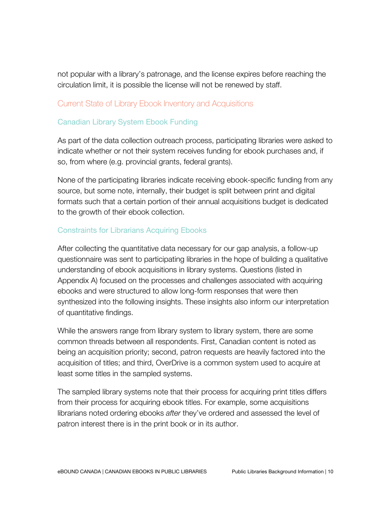not popular with a library's patronage, and the license expires before reaching the circulation limit, it is possible the license will not be renewed by staff.

#### Current State of Library Ebook Inventory and Acquisitions

#### Canadian Library System Ebook Funding

As part of the data collection outreach process, participating libraries were asked to indicate whether or not their system receives funding for ebook purchases and, if so, from where (e.g. provincial grants, federal grants).

None of the participating libraries indicate receiving ebook-specific funding from any source, but some note, internally, their budget is split between print and digital formats such that a certain portion of their annual acquisitions budget is dedicated to the growth of their ebook collection.

#### Constraints for Librarians Acquiring Ebooks

After collecting the quantitative data necessary for our gap analysis, a follow-up questionnaire was sent to participating libraries in the hope of building a qualitative understanding of ebook acquisitions in library systems. Questions (listed in Appendix A) focused on the processes and challenges associated with acquiring ebooks and were structured to allow long-form responses that were then synthesized into the following insights. These insights also inform our interpretation of quantitative findings.

While the answers range from library system to library system, there are some common threads between all respondents. First, Canadian content is noted as being an acquisition priority; second, patron requests are heavily factored into the acquisition of titles; and third, OverDrive is a common system used to acquire at least some titles in the sampled systems.

The sampled library systems note that their process for acquiring print titles differs from their process for acquiring ebook titles. For example, some acquisitions librarians noted ordering ebooks *after* they've ordered and assessed the level of patron interest there is in the print book or in its author.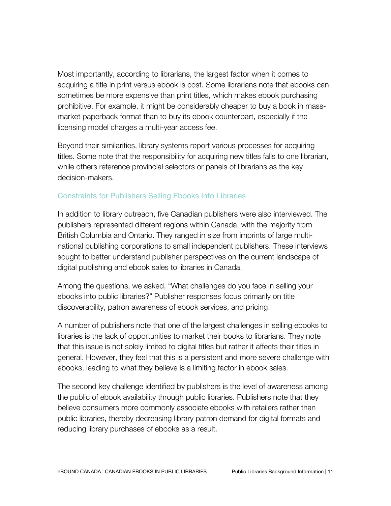Most importantly, according to librarians, the largest factor when it comes to acquiring a title in print versus ebook is cost. Some librarians note that ebooks can sometimes be more expensive than print titles, which makes ebook purchasing prohibitive. For example, it might be considerably cheaper to buy a book in massmarket paperback format than to buy its ebook counterpart, especially if the licensing model charges a multi-year access fee.

Beyond their similarities, library systems report various processes for acquiring titles. Some note that the responsibility for acquiring new titles falls to one librarian, while others reference provincial selectors or panels of librarians as the key decision-makers.

#### Constraints for Publishers Selling Ebooks Into Libraries

In addition to library outreach, five Canadian publishers were also interviewed. The publishers represented different regions within Canada, with the majority from British Columbia and Ontario. They ranged in size from imprints of large multinational publishing corporations to small independent publishers. These interviews sought to better understand publisher perspectives on the current landscape of digital publishing and ebook sales to libraries in Canada.

Among the questions, we asked, "What challenges do you face in selling your ebooks into public libraries?" Publisher responses focus primarily on title discoverability, patron awareness of ebook services, and pricing.

A number of publishers note that one of the largest challenges in selling ebooks to libraries is the lack of opportunities to market their books to librarians. They note that this issue is not solely limited to digital titles but rather it affects their titles in general. However, they feel that this is a persistent and more severe challenge with ebooks, leading to what they believe is a limiting factor in ebook sales.

The second key challenge identified by publishers is the level of awareness among the public of ebook availability through public libraries. Publishers note that they believe consumers more commonly associate ebooks with retailers rather than public libraries, thereby decreasing library patron demand for digital formats and reducing library purchases of ebooks as a result.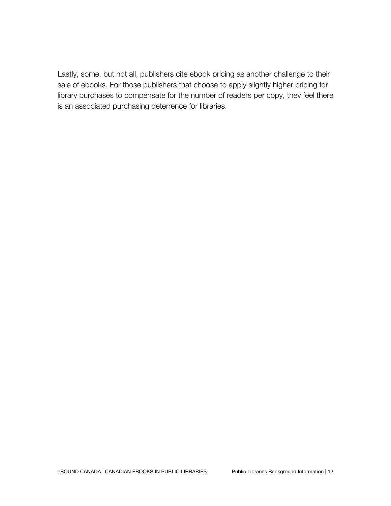Lastly, some, but not all, publishers cite ebook pricing as another challenge to their sale of ebooks. For those publishers that choose to apply slightly higher pricing for library purchases to compensate for the number of readers per copy, they feel there is an associated purchasing deterrence for libraries.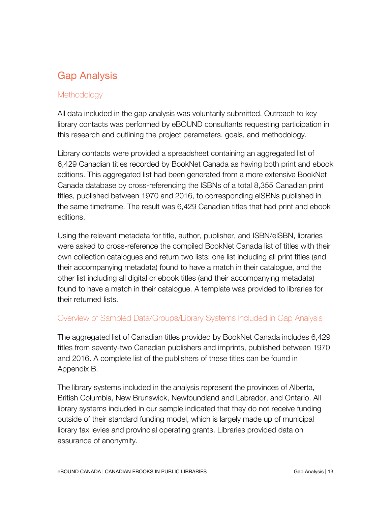# Gap Analysis

#### **Methodology**

All data included in the gap analysis was voluntarily submitted. Outreach to key library contacts was performed by eBOUND consultants requesting participation in this research and outlining the project parameters, goals, and methodology.

Library contacts were provided a spreadsheet containing an aggregated list of 6,429 Canadian titles recorded by BookNet Canada as having both print and ebook editions. This aggregated list had been generated from a more extensive BookNet Canada database by cross-referencing the ISBNs of a total 8,355 Canadian print titles, published between 1970 and 2016, to corresponding eISBNs published in the same timeframe. The result was 6,429 Canadian titles that had print and ebook editions.

Using the relevant metadata for title, author, publisher, and ISBN/eISBN, libraries were asked to cross-reference the compiled BookNet Canada list of titles with their own collection catalogues and return two lists: one list including all print titles (and their accompanying metadata) found to have a match in their catalogue, and the other list including all digital or ebook titles (and their accompanying metadata) found to have a match in their catalogue. A template was provided to libraries for their returned lists.

#### Overview of Sampled Data/Groups/Library Systems Included in Gap Analysis

The aggregated list of Canadian titles provided by BookNet Canada includes 6,429 titles from seventy-two Canadian publishers and imprints, published between 1970 and 2016. A complete list of the publishers of these titles can be found in Appendix B.

The library systems included in the analysis represent the provinces of Alberta, British Columbia, New Brunswick, Newfoundland and Labrador, and Ontario. All library systems included in our sample indicated that they do not receive funding outside of their standard funding model, which is largely made up of municipal library tax levies and provincial operating grants. Libraries provided data on assurance of anonymity.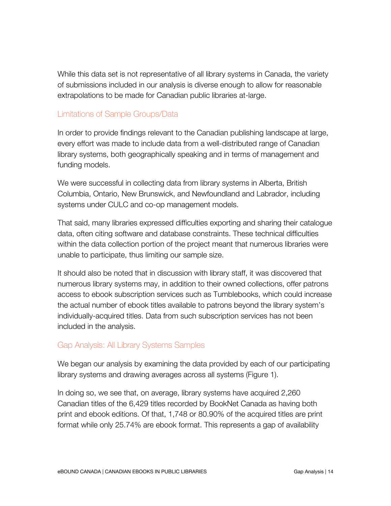While this data set is not representative of all library systems in Canada, the variety of submissions included in our analysis is diverse enough to allow for reasonable extrapolations to be made for Canadian public libraries at-large.

### Limitations of Sample Groups/Data

In order to provide findings relevant to the Canadian publishing landscape at large, every effort was made to include data from a well-distributed range of Canadian library systems, both geographically speaking and in terms of management and funding models.

We were successful in collecting data from library systems in Alberta, British Columbia, Ontario, New Brunswick, and Newfoundland and Labrador, including systems under CULC and co-op management models.

That said, many libraries expressed difficulties exporting and sharing their catalogue data, often citing software and database constraints. These technical difficulties within the data collection portion of the project meant that numerous libraries were unable to participate, thus limiting our sample size.

It should also be noted that in discussion with library staff, it was discovered that numerous library systems may, in addition to their owned collections, offer patrons access to ebook subscription services such as Tumblebooks, which could increase the actual number of ebook titles available to patrons beyond the library system's individually-acquired titles. Data from such subscription services has not been included in the analysis.

## Gap Analysis: All Library Systems Samples

We began our analysis by examining the data provided by each of our participating library systems and drawing averages across all systems (Figure 1).

In doing so, we see that, on average, library systems have acquired 2,260 Canadian titles of the 6,429 titles recorded by BookNet Canada as having both print and ebook editions. Of that, 1,748 or 80.90% of the acquired titles are print format while only 25.74% are ebook format. This represents a gap of availability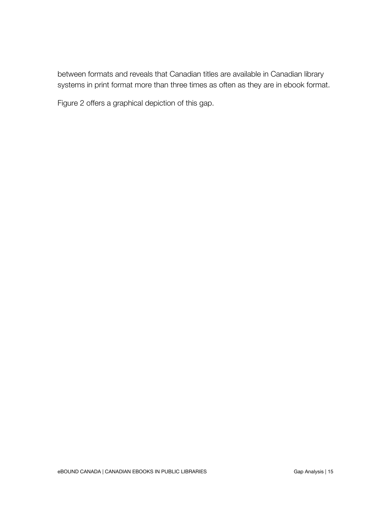between formats and reveals that Canadian titles are available in Canadian library systems in print format more than three times as often as they are in ebook format.

Figure 2 offers a graphical depiction of this gap.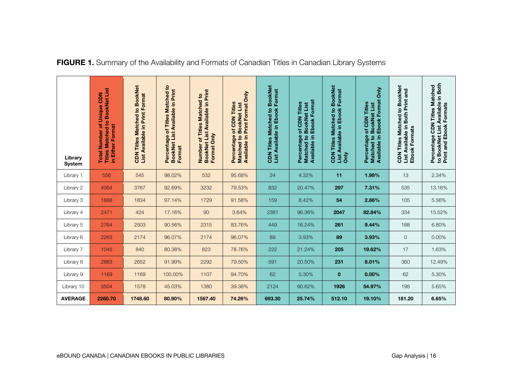| Library<br><b>System</b> | <b>Titles Matched to BookNet List</b><br><b>NGC</b><br>of Unique<br>in Either Format<br><b>Total Number</b> | <b>Titles Matched to BookNet</b><br>List Available in Print Format<br><b>NGC</b> | Matched to<br>BookNet List Available in Print<br>of Titles<br>Percentage<br>Format | <b>BookNet List Available in Print</b><br>Matched to<br><b>Titles</b><br>Only<br>ō<br>Number<br><b>Format</b> | Available in Print Format Only<br>of CDN Titles<br><b>BookNet List</b><br>Matched to<br>Percentage | <b>CDN Titles Matched to BookNet</b><br>List Available in Ebook Format | Available in Ebook Format<br>of CDN Titles<br><b>BookNet List</b><br>Percentage<br>$\overline{\mathbf{c}}$<br><b>Matched</b> | <b>BookNet</b><br>List Available in Ebook Format<br><b>CDN Titles Matched to</b><br><b>Only</b> | <b>Only</b><br><b>Available in Ebook Format</b><br>of CDN Titles<br><b>BookNet List</b><br>Percentage<br>Matched to | <b>BookNet</b><br>List Available in Both Print and<br>Matched to<br>Ebook Formats<br><b>Titles</b><br><b>NGC</b> | to BookNet List Available in Both<br>Percentage CDN Titles Matched<br>Print and Ebook Formats |
|--------------------------|-------------------------------------------------------------------------------------------------------------|----------------------------------------------------------------------------------|------------------------------------------------------------------------------------|---------------------------------------------------------------------------------------------------------------|----------------------------------------------------------------------------------------------------|------------------------------------------------------------------------|------------------------------------------------------------------------------------------------------------------------------|-------------------------------------------------------------------------------------------------|---------------------------------------------------------------------------------------------------------------------|------------------------------------------------------------------------------------------------------------------|-----------------------------------------------------------------------------------------------|
| Library 1                | 556                                                                                                         | 545                                                                              | 98.02%                                                                             | 532                                                                                                           | 95.68%                                                                                             | 24                                                                     | 4.32%                                                                                                                        | 11                                                                                              | 1.98%                                                                                                               | 13                                                                                                               | 2.34%                                                                                         |
| Library 2                | 4064                                                                                                        | 3767                                                                             | 92.69%                                                                             | 3232                                                                                                          | 79.53%                                                                                             | 832                                                                    | 20.47%                                                                                                                       | 297                                                                                             | 7.31%                                                                                                               | 535                                                                                                              | 13.16%                                                                                        |
| Library 3                | 1888                                                                                                        | 1834                                                                             | 97.14%                                                                             | 1729                                                                                                          | 91.58%                                                                                             | 159                                                                    | 8.42%                                                                                                                        | 54                                                                                              | 2.86%                                                                                                               | 105                                                                                                              | 5.56%                                                                                         |
| Library 4                | 2471                                                                                                        | 424                                                                              | 17.16%                                                                             | 90                                                                                                            | 3.64%                                                                                              | 2381                                                                   | 96.36%                                                                                                                       | 2047                                                                                            | 82.84%                                                                                                              | 334                                                                                                              | 13.52%                                                                                        |
| Library 5                | 2764                                                                                                        | 2503                                                                             | 90.56%                                                                             | 2315                                                                                                          | 83.76%                                                                                             | 449                                                                    | 16.24%                                                                                                                       | 261                                                                                             | 9.44%                                                                                                               | 188                                                                                                              | 6.80%                                                                                         |
| Library 6                | 2263                                                                                                        | 2174                                                                             | 96.07%                                                                             | 2174                                                                                                          | 96.07%                                                                                             | 89                                                                     | 3.93%                                                                                                                        | 89                                                                                              | 3.93%                                                                                                               | $\mathbf{O}$                                                                                                     | 0.00%                                                                                         |
| Library 7                | 1045                                                                                                        | 840                                                                              | 80.38%                                                                             | 823                                                                                                           | 78.76%                                                                                             | 222                                                                    | 21.24%                                                                                                                       | 205                                                                                             | 19.62%                                                                                                              | 17                                                                                                               | 1.63%                                                                                         |
| Library 8                | 2883                                                                                                        | 2652                                                                             | 91.99%                                                                             | 2292                                                                                                          | 79.50%                                                                                             | 591                                                                    | 20.50%                                                                                                                       | 231                                                                                             | 8.01%                                                                                                               | 360                                                                                                              | 12.49%                                                                                        |
| Library 9                | 1169                                                                                                        | 1169                                                                             | 100.00%                                                                            | 1107                                                                                                          | 94.70%                                                                                             | 62                                                                     | 5.30%                                                                                                                        | $\mathbf 0$                                                                                     | 0.00%                                                                                                               | 62                                                                                                               | 5.30%                                                                                         |
| Library 10               | 3504                                                                                                        | 1578                                                                             | 45.03%                                                                             | 1380                                                                                                          | 39.38%                                                                                             | 2124                                                                   | 60.62%                                                                                                                       | 1926                                                                                            | 54.97%                                                                                                              | 198                                                                                                              | 5.65%                                                                                         |
| <b>AVERAGE</b>           | 2260.70                                                                                                     | 1748.60                                                                          | 80.90%                                                                             | 1567.40                                                                                                       | 74.26%                                                                                             | 693.30                                                                 | 25.74%                                                                                                                       | 512.10                                                                                          | 19.10%                                                                                                              | 181.20                                                                                                           | 6.65%                                                                                         |

## **FIGURE 1.** Summary of the Availability and Formats of Canadian Titles in Canadian Library Systems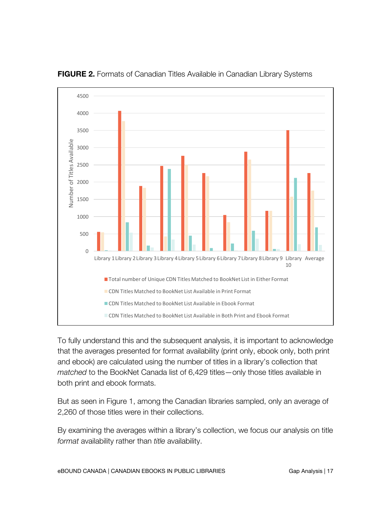

**FIGURE 2.** Formats of Canadian Titles Available in Canadian Library Systems

To fully understand this and the subsequent analysis, it is important to acknowledge that the averages presented for format availability (print only, ebook only, both print and ebook) are calculated using the number of titles in a library's collection that *matched* to the BookNet Canada list of 6,429 titles—only those titles available in both print and ebook formats.

But as seen in Figure 1, among the Canadian libraries sampled, only an average of 2,260 of those titles were in their collections.

By examining the averages within a library's collection, we focus our analysis on title *format* availability rather than *title* availability.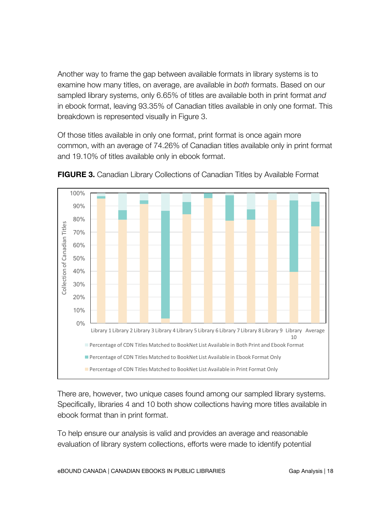Another way to frame the gap between available formats in library systems is to examine how many titles, on average, are available in *both* formats. Based on our sampled library systems, only 6.65% of titles are available both in print format *and* in ebook format, leaving 93.35% of Canadian titles available in only one format. This breakdown is represented visually in Figure 3.

Of those titles available in only one format, print format is once again more common, with an average of 74.26% of Canadian titles available only in print format and 19.10% of titles available only in ebook format.



**FIGURE 3.** Canadian Library Collections of Canadian Titles by Available Format

There are, however, two unique cases found among our sampled library systems. Specifically, libraries 4 and 10 both show collections having more titles available in ebook format than in print format.

To help ensure our analysis is valid and provides an average and reasonable evaluation of library system collections, efforts were made to identify potential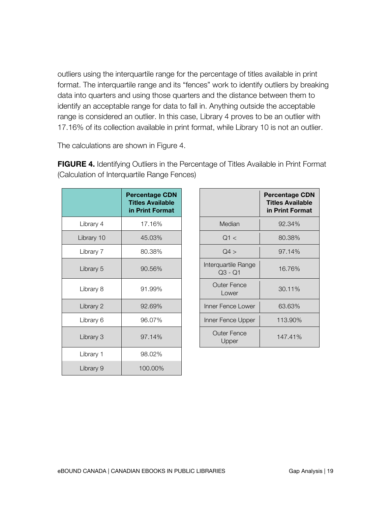outliers using the interquartile range for the percentage of titles available in print format. The interquartile range and its "fences" work to identify outliers by breaking data into quarters and using those quarters and the distance between them to identify an acceptable range for data to fall in. Anything outside the acceptable range is considered an outlier. In this case, Library 4 proves to be an outlier with 17.16% of its collection available in print format, while Library 10 is not an outlier.

The calculations are shown in Figure 4.

|            | <b>Percentage CDN</b><br><b>Titles Available</b><br>in Print Format |                                  | <b>Percentage</b><br><b>Titles Availa</b><br>in Print Forr |
|------------|---------------------------------------------------------------------|----------------------------------|------------------------------------------------------------|
| Library 4  | 17.16%                                                              | Median                           | 92.34%                                                     |
| Library 10 | 45.03%                                                              | Q1 <                             | 80.38%                                                     |
| Library 7  | 80.38%                                                              | Q4 >                             | 97.14%                                                     |
| Library 5  | 90.56%                                                              | Interquartile Range<br>$Q3 - Q1$ | 16.76%                                                     |
| Library 8  | 91.99%                                                              | <b>Outer Fence</b><br>Lower      | 30.11%                                                     |
| Library 2  | 92.69%                                                              | Inner Fence Lower                | 63.63%                                                     |
| Library 6  | 96.07%                                                              | Inner Fence Upper                | 113.90%                                                    |
| Library 3  | 97.14%                                                              | <b>Outer Fence</b><br>Upper      | 147.41%                                                    |
| Library 1  | 98.02%                                                              |                                  |                                                            |
| Library 9  | 100.00%                                                             |                                  |                                                            |

**FIGURE 4.** Identifying Outliers in the Percentage of Titles Available in Print Format (Calculation of Interquartile Range Fences)

|                                | <b>Percentage CDN</b><br><b>Titles Available</b><br>in Print Format |
|--------------------------------|---------------------------------------------------------------------|
| Median                         | 92.34%                                                              |
| Q1 <                           | 80.38%                                                              |
| Q4 >                           | 97.14%                                                              |
| Interquartile Range<br>Q3 - Q1 | 16.76%                                                              |
| Outer Fence<br>Lower           | 30.11%                                                              |
| Inner Fence Lower              | 63.63%                                                              |
| Inner Fence Upper              | 113.90%                                                             |
| <b>Outer Fence</b><br>Upper    | 147.41%                                                             |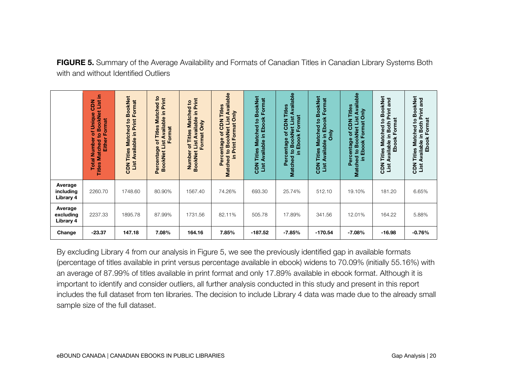**FIGURE 5.** Summary of the Average Availability and Formats of Canadian Titles in Canadian Library Systems Both with and without Identified Outliers

|                                                                                                                                                                                                                                                                                                                                                                                                                                                                                                                                                                                                                                                        | <b>Titles Matched to BookNet List in</b><br><b>CDN</b><br><b>Total Number of Unique</b><br><b>Either Format</b> | <b>BookNet</b><br>List Available in Print Format<br><b>CDN Titles Matched to</b> | Percentage of Titles Matched to<br><b>BookNet List Available in Print</b><br>Format | BookNet List Available in Print<br>Number of Titles Matched to<br>Format Only | Matched to BookNet List Available<br>Percentage of CDN Titles<br>in Print Format Only | <b>CDN Titles Matched to BookNet</b><br>List Available in Ebook Format | Matched to BookNet List Available<br>Percentage of CDN Titles<br>in Ebook Format | CDN Titles Matched to BookNet<br>List Available in Ebook Format<br>ðnly | Matched to BookNet List Available<br>Percentage of CDN Titles<br>in Ebook Format Only | CDN Titles Matched to BookNet<br>List Available in Both Print and<br><b>Ebook Format</b> | CDN Titles Matched to BookNet<br>List Available in Both Print and<br>Ebook Format |
|--------------------------------------------------------------------------------------------------------------------------------------------------------------------------------------------------------------------------------------------------------------------------------------------------------------------------------------------------------------------------------------------------------------------------------------------------------------------------------------------------------------------------------------------------------------------------------------------------------------------------------------------------------|-----------------------------------------------------------------------------------------------------------------|----------------------------------------------------------------------------------|-------------------------------------------------------------------------------------|-------------------------------------------------------------------------------|---------------------------------------------------------------------------------------|------------------------------------------------------------------------|----------------------------------------------------------------------------------|-------------------------------------------------------------------------|---------------------------------------------------------------------------------------|------------------------------------------------------------------------------------------|-----------------------------------------------------------------------------------|
| Average<br>including<br>Library 4                                                                                                                                                                                                                                                                                                                                                                                                                                                                                                                                                                                                                      | 2260.70                                                                                                         | 1748.60                                                                          | 80.90%                                                                              | 1567.40                                                                       | 74.26%                                                                                | 693.30                                                                 | 25.74%                                                                           | 512.10                                                                  | 19.10%                                                                                | 181.20                                                                                   | 6.65%                                                                             |
| Average<br>excluding<br>Library 4                                                                                                                                                                                                                                                                                                                                                                                                                                                                                                                                                                                                                      | 2237.33                                                                                                         | 1895.78                                                                          | 87.99%                                                                              | 1731.56                                                                       | 82.11%                                                                                | 505.78                                                                 | 17.89%                                                                           | 341.56                                                                  | 12.01%                                                                                | 164.22                                                                                   | 5.88%                                                                             |
| Change                                                                                                                                                                                                                                                                                                                                                                                                                                                                                                                                                                                                                                                 | $-23.37$                                                                                                        | 147.18                                                                           | 7.08%                                                                               | 164.16                                                                        | 7.85%                                                                                 | $-187.52$                                                              | $-7.85%$                                                                         | $-170.54$                                                               | $-7.08%$                                                                              | $-16.98$                                                                                 | $-0.76%$                                                                          |
| By excluding Library 4 from our analysis in Figure 5, we see the previously identified gap in available formats<br>(percentage of titles available in print versus percentage available in ebook) widens to 70.09% (initially 55.16%) with<br>an average of 87.99% of titles available in print format and only 17.89% available in ebook format. Although it is<br>important to identify and consider outliers, all further analysis conducted in this study and present in this report<br>includes the full dataset from ten libraries. The decision to include Library 4 data was made due to the already small<br>sample size of the full dataset. |                                                                                                                 |                                                                                  |                                                                                     |                                                                               |                                                                                       |                                                                        |                                                                                  |                                                                         |                                                                                       |                                                                                          |                                                                                   |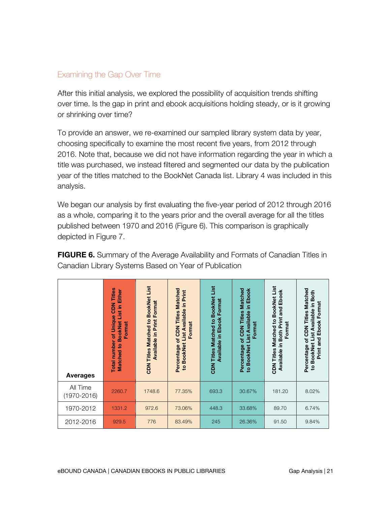#### Examining the Gap Over Time

After this initial analysis, we explored the possibility of acquisition trends shifting over time. Is the gap in print and ebook acquisitions holding steady, or is it growing or shrinking over time?

To provide an answer, we re-examined our sampled library system data by year, choosing specifically to examine the most recent five years, from 2012 through 2016. Note that, because we did not have information regarding the year in which a title was purchased, we instead filtered and segmented our data by the publication year of the titles matched to the BookNet Canada list. Library 4 was included in this analysis.

We began our analysis by first evaluating the five-year period of 2012 through 2016 as a whole, comparing it to the years prior and the overall average for all the titles published between 1970 and 2016 (Figure 6). This comparison is graphically depicted in Figure 7.

**FIGURE 6.** Summary of the Average Availability and Formats of Canadian Titles in Canadian Library Systems Based on Year of Publication

| <b>Averages</b>             | <b>CDN Titles</b><br>Matched to BookNet List in Either<br><b>Total number of Unique</b><br>Format | <b>BookNet List</b><br>Format<br><b>Available in Print</b><br><b>Titles Matched to</b><br><b>ZON</b> | Percentage of CDN Titles Matched<br><b>BookNet List Available in Print</b><br>Format<br>$\mathbf{Q}$ | List<br><b>BookNet</b><br>Available in Ebook Format<br>Matched to<br><b>Titles</b><br><b>ZON</b> | Matched<br>in Ebook<br>List Available<br>of CDN Titles<br>Format<br>to BookNet<br>rcentage<br>قم | Matched to BookNet List<br>Ebook<br>and<br><b>Both Print</b><br>Format<br>Ξ.<br><b>CDN Titles</b><br>Available | Percentage of CDN Titles Matched<br>BookNet List Available in Both<br>Print and Ebook Format<br>$\mathbf{S}$ |
|-----------------------------|---------------------------------------------------------------------------------------------------|------------------------------------------------------------------------------------------------------|------------------------------------------------------------------------------------------------------|--------------------------------------------------------------------------------------------------|--------------------------------------------------------------------------------------------------|----------------------------------------------------------------------------------------------------------------|--------------------------------------------------------------------------------------------------------------|
| All Time<br>$(1970 - 2016)$ | 2260.7                                                                                            | 1748.6                                                                                               | 77.35%                                                                                               | 693.3                                                                                            | 30.67%                                                                                           | 181.20                                                                                                         | 8.02%                                                                                                        |
| 1970-2012                   | 1331.2                                                                                            | 972.6                                                                                                | 73.06%                                                                                               | 448.3                                                                                            | 33.68%                                                                                           | 89.70                                                                                                          | 6.74%                                                                                                        |
| 2012-2016                   | 929.5                                                                                             | 776                                                                                                  | 83.49%                                                                                               | 245                                                                                              | 26.36%                                                                                           | 91.50                                                                                                          | 9.84%                                                                                                        |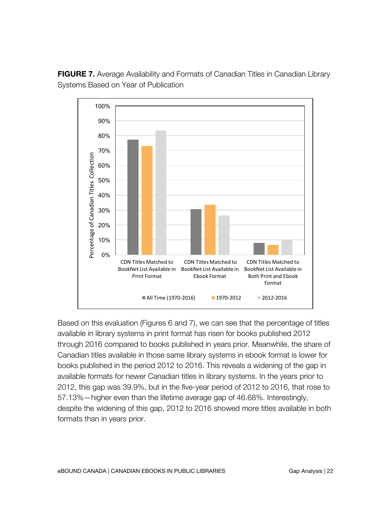

**FIGURE 7.** Average Availability and Formats of Canadian Titles in Canadian Library Systems Based on Year of Publication

Based on this evaluation (Figures 6 and 7), we can see that the percentage of titles available in library systems in print format has risen for books published 2012 through 2016 compared to books published in years prior. Meanwhile, the share of Canadian titles available in those same library systems in ebook format is lower for books published in the period 2012 to 2016. This reveals a widening of the gap in available formats for newer Canadian titles in library systems. In the years prior to 2012, this gap was 39.9%, but in the five-year period of 2012 to 2016, that rose to 57.13%—higher even than the lifetime average gap of 46.68%. Interestingly, despite the widening of this gap, 2012 to 2016 showed more titles available in both formats than in years prior.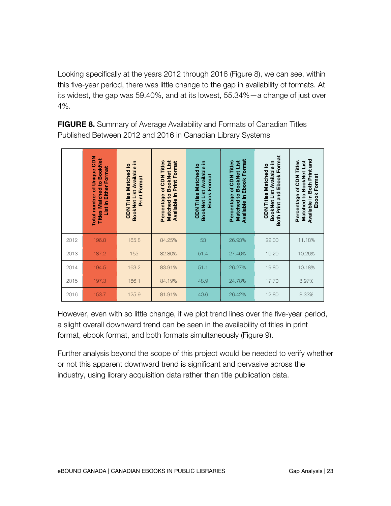Looking specifically at the years 2012 through 2016 (Figure 8), we can see, within this five-year period, there was little change to the gap in availability of formats. At its widest, the gap was 59.40%, and at its lowest, 55.34%—a change of just over 4%.

|      | <b>Total number of Unique CDN</b><br><b>Titles Matched to BookNet</b><br><b>List in Either Format</b> | BookNet List Available in<br><b>CDN Titles Matched to</b><br><b>Print Format</b> | Percentage of CDN Titles<br>Matched to BookNet List<br>in Print Format<br><b>Available</b> | BookNet List Available in<br><b>CDN Titles Matched to</b><br><b>Ebook Format</b> | <b>Ebook Format</b><br>Matched to BookNet List<br>of CDN Titles<br>Percentage<br>Available in | Both Print and Ebook Format<br>BookNet List Available in<br><b>CDN Titles Matched to</b> | Available in Both Print and<br>Percentage of CDN Titles<br>Matched to BookNet List<br>Format<br>Ebook |
|------|-------------------------------------------------------------------------------------------------------|----------------------------------------------------------------------------------|--------------------------------------------------------------------------------------------|----------------------------------------------------------------------------------|-----------------------------------------------------------------------------------------------|------------------------------------------------------------------------------------------|-------------------------------------------------------------------------------------------------------|
| 2012 | 196.8                                                                                                 | 165.8                                                                            | 84.25%                                                                                     | 53                                                                               | 26.93%                                                                                        | 22.00                                                                                    | 11.18%                                                                                                |
| 2013 | 187.2                                                                                                 | 155                                                                              | 82.80%                                                                                     | 51.4                                                                             | 27.46%                                                                                        | 19.20                                                                                    | 10.26%                                                                                                |
| 2014 | 194.5                                                                                                 | 163.2                                                                            | 83.91%                                                                                     | 51.1                                                                             | 26.27%                                                                                        | 19.80                                                                                    | 10.18%                                                                                                |
| 2015 | 197.3                                                                                                 | 166.1                                                                            | 84.19%                                                                                     | 48.9                                                                             | 24.78%                                                                                        | 17.70                                                                                    | 8.97%                                                                                                 |
| 2016 | 153.7                                                                                                 | 125.9                                                                            | 81.91%                                                                                     | 40.6                                                                             | 26.42%                                                                                        | 12.80                                                                                    | 8.33%                                                                                                 |

**FIGURE 8.** Summary of Average Availability and Formats of Canadian Titles Published Between 2012 and 2016 in Canadian Library Systems

However, even with so little change, if we plot trend lines over the five-year period, a slight overall downward trend can be seen in the availability of titles in print format, ebook format, and both formats simultaneously (Figure 9).

Further analysis beyond the scope of this project would be needed to verify whether or not this apparent downward trend is significant and pervasive across the industry, using library acquisition data rather than title publication data.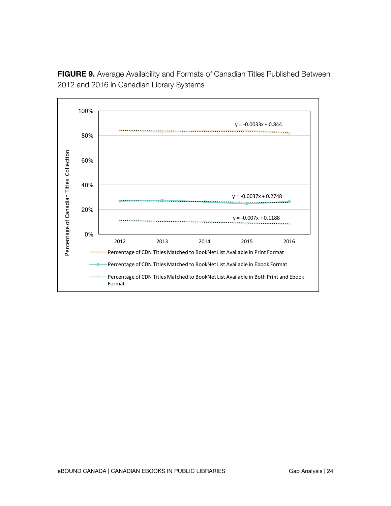**FIGURE 9.** Average Availability and Formats of Canadian Titles Published Between 2012 and 2016 in Canadian Library Systems

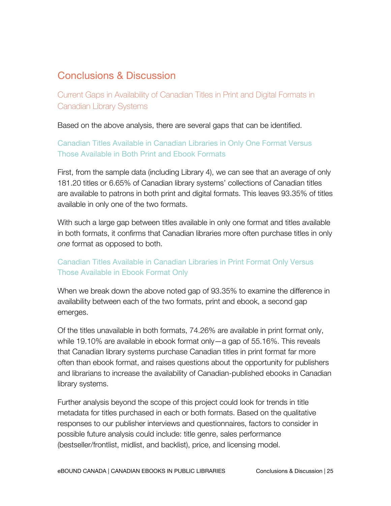## Conclusions & Discussion

Current Gaps in Availability of Canadian Titles in Print and Digital Formats in Canadian Library Systems

Based on the above analysis, there are several gaps that can be identified.

### Canadian Titles Available in Canadian Libraries in Only One Format Versus Those Available in Both Print and Ebook Formats

First, from the sample data (including Library 4), we can see that an average of only 181.20 titles or 6.65% of Canadian library systems' collections of Canadian titles are available to patrons in both print and digital formats. This leaves 93.35% of titles available in only one of the two formats.

With such a large gap between titles available in only one format and titles available in both formats, it confirms that Canadian libraries more often purchase titles in only *one* format as opposed to both.

### Canadian Titles Available in Canadian Libraries in Print Format Only Versus Those Available in Ebook Format Only

When we break down the above noted gap of 93.35% to examine the difference in availability between each of the two formats, print and ebook, a second gap emerges.

Of the titles unavailable in both formats, 74.26% are available in print format only, while 19.10% are available in ebook format only—a gap of 55.16%. This reveals that Canadian library systems purchase Canadian titles in print format far more often than ebook format, and raises questions about the opportunity for publishers and librarians to increase the availability of Canadian-published ebooks in Canadian library systems.

Further analysis beyond the scope of this project could look for trends in title metadata for titles purchased in each or both formats. Based on the qualitative responses to our publisher interviews and questionnaires, factors to consider in possible future analysis could include: title genre, sales performance (bestseller/frontlist, midlist, and backlist), price, and licensing model.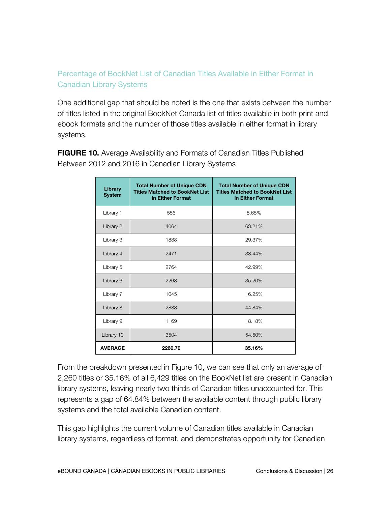### Percentage of BookNet List of Canadian Titles Available in Either Format in Canadian Library Systems

One additional gap that should be noted is the one that exists between the number of titles listed in the original BookNet Canada list of titles available in both print and ebook formats and the number of those titles available in either format in library systems.

**FIGURE 10.** Average Availability and Formats of Canadian Titles Published Between 2012 and 2016 in Canadian Library Systems

| Library<br><b>System</b> | <b>Total Number of Unique CDN</b><br><b>Titles Matched to BookNet List</b><br>in Either Format | <b>Total Number of Unique CDN</b><br><b>Titles Matched to BookNet List</b><br>in Either Format |
|--------------------------|------------------------------------------------------------------------------------------------|------------------------------------------------------------------------------------------------|
| Library 1                | 556                                                                                            | 8.65%                                                                                          |
| Library 2                | 4064                                                                                           | 63.21%                                                                                         |
| Library 3                | 1888                                                                                           | 29.37%                                                                                         |
| Library 4                | 2471                                                                                           | 38.44%                                                                                         |
| Library 5                | 2764                                                                                           | 42.99%                                                                                         |
| Library 6                | 2263                                                                                           | 35.20%                                                                                         |
| Library 7                | 1045                                                                                           | 16.25%                                                                                         |
| Library 8                | 2883                                                                                           | 44.84%                                                                                         |
| Library 9                | 1169                                                                                           | 18.18%                                                                                         |
| Library 10               | 3504                                                                                           | 54.50%                                                                                         |
| <b>AVERAGE</b>           | 2260.70                                                                                        | 35.16%                                                                                         |

From the breakdown presented in Figure 10, we can see that only an average of 2,260 titles or 35.16% of all 6,429 titles on the BookNet list are present in Canadian library systems, leaving nearly two thirds of Canadian titles unaccounted for. This represents a gap of 64.84% between the available content through public library systems and the total available Canadian content.

This gap highlights the current volume of Canadian titles available in Canadian library systems, regardless of format, and demonstrates opportunity for Canadian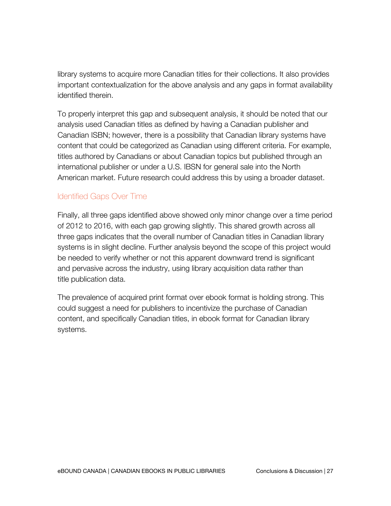library systems to acquire more Canadian titles for their collections. It also provides important contextualization for the above analysis and any gaps in format availability identified therein.

To properly interpret this gap and subsequent analysis, it should be noted that our analysis used Canadian titles as defined by having a Canadian publisher and Canadian ISBN; however, there is a possibility that Canadian library systems have content that could be categorized as Canadian using different criteria. For example, titles authored by Canadians or about Canadian topics but published through an international publisher or under a U.S. IBSN for general sale into the North American market. Future research could address this by using a broader dataset.

#### Identified Gaps Over Time

Finally, all three gaps identified above showed only minor change over a time period of 2012 to 2016, with each gap growing slightly. This shared growth across all three gaps indicates that the overall number of Canadian titles in Canadian library systems is in slight decline. Further analysis beyond the scope of this project would be needed to verify whether or not this apparent downward trend is significant and pervasive across the industry, using library acquisition data rather than title publication data.

The prevalence of acquired print format over ebook format is holding strong. This could suggest a need for publishers to incentivize the purchase of Canadian content, and specifically Canadian titles, in ebook format for Canadian library systems.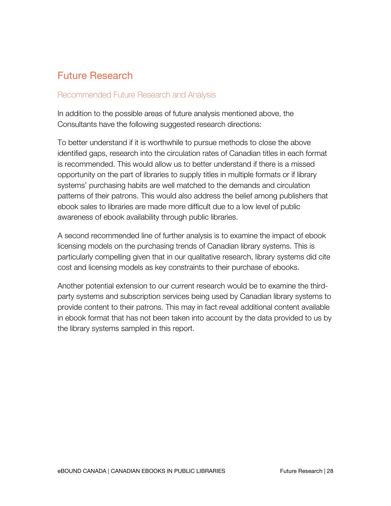# Future Research

#### Recommended Future Research and Analysis

In addition to the possible areas of future analysis mentioned above, the Consultants have the following suggested research directions:

To better understand if it is worthwhile to pursue methods to close the above identified gaps, research into the circulation rates of Canadian titles in each format is recommended. This would allow us to better understand if there is a missed opportunity on the part of libraries to supply titles in multiple formats or if library systems' purchasing habits are well matched to the demands and circulation patterns of their patrons. This would also address the belief among publishers that ebook sales to libraries are made more difficult due to a low level of public awareness of ebook availability through public libraries.

A second recommended line of further analysis is to examine the impact of ebook licensing models on the purchasing trends of Canadian library systems. This is particularly compelling given that in our qualitative research, library systems did cite cost and licensing models as key constraints to their purchase of ebooks.

Another potential extension to our current research would be to examine the thirdparty systems and subscription services being used by Canadian library systems to provide content to their patrons. This may in fact reveal additional content available in ebook format that has not been taken into account by the data provided to us by the library systems sampled in this report.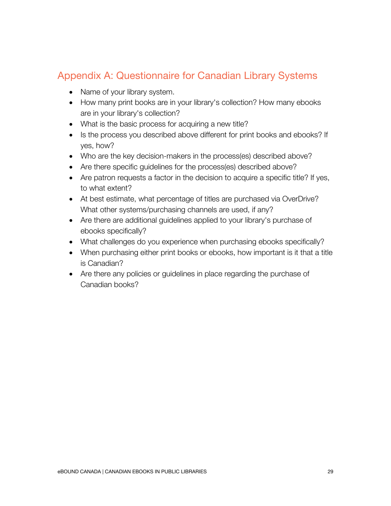## Appendix A: Questionnaire for Canadian Library Systems

- Name of your library system.
- How many print books are in your library's collection? How many ebooks are in your library's collection?
- What is the basic process for acquiring a new title?
- Is the process you described above different for print books and ebooks? If yes, how?
- Who are the key decision-makers in the process(es) described above?
- Are there specific guidelines for the process(es) described above?
- Are patron requests a factor in the decision to acquire a specific title? If yes, to what extent?
- At best estimate, what percentage of titles are purchased via OverDrive? What other systems/purchasing channels are used, if any?
- Are there are additional guidelines applied to your library's purchase of ebooks specifically?
- What challenges do you experience when purchasing ebooks specifically?
- When purchasing either print books or ebooks, how important is it that a title is Canadian?
- Are there any policies or guidelines in place regarding the purchase of Canadian books?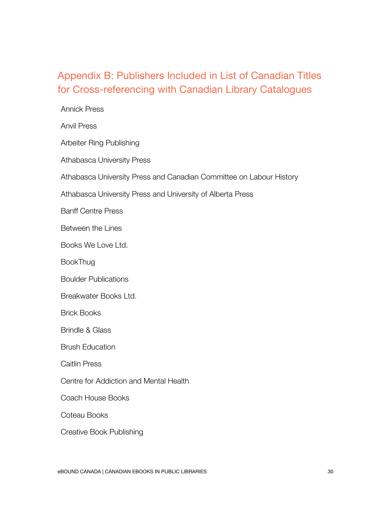# Appendix B: Publishers Included in List of Canadian Titles for Cross-referencing with Canadian Library Catalogues

| <b>Annick Press</b>                                                 |
|---------------------------------------------------------------------|
| <b>Anvil Press</b>                                                  |
| Arbeiter Ring Publishing                                            |
| <b>Athabasca University Press</b>                                   |
| Athabasca University Press and Canadian Committee on Labour History |
| Athabasca University Press and University of Alberta Press          |
| <b>Banff Centre Press</b>                                           |
| Between the Lines                                                   |
| Books We Love Ltd.                                                  |
| <b>BookThug</b>                                                     |
| <b>Boulder Publications</b>                                         |
| Breakwater Books Ltd.                                               |
| <b>Brick Books</b>                                                  |
| <b>Brindle &amp; Glass</b>                                          |
| <b>Brush Education</b>                                              |
| <b>Caitlin Press</b>                                                |
| Centre for Addiction and Mental Health                              |
| <b>Coach House Books</b>                                            |
| Coteau Books                                                        |
| <b>Creative Book Publishing</b>                                     |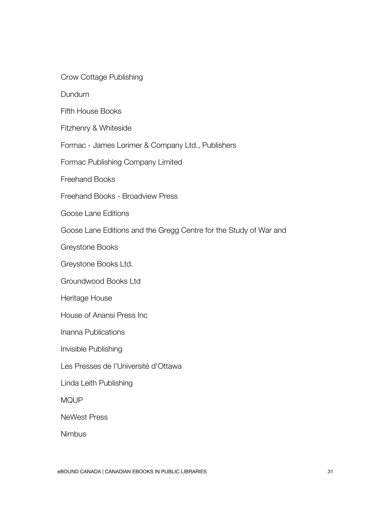Crow Cottage Publishing

Dundurn

Fifth House Books

Fitzhenry & Whiteside

Formac - James Lorimer & Company Ltd., Publishers

Formac Publishing Company Limited

Freehand Books

Freehand Books - Broadview Press

Goose Lane Editions

Goose Lane Editions and the Gregg Centre for the Study of War and

Society Greystone Books

Greystone Books Ltd.

Groundwood Books Ltd

Heritage House

House of Anansi Press Inc

Inanna Publications

Invisible Publishing

Les Presses de l'Université d'Ottawa

Linda Leith Publishing

MQUP

NeWest Press

**Nimbus**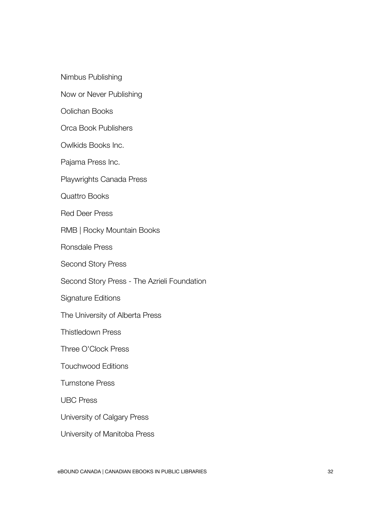Nimbus Publishing

Now or Never Publishing

Oolichan Books

Orca Book Publishers

Owlkids Books Inc.

Pajama Press Inc.

Playwrights Canada Press

Quattro Books

Red Deer Press

RMB | Rocky Mountain Books

Ronsdale Press

Second Story Press

Second Story Press - The Azrieli Foundation

Signature Editions

The University of Alberta Press

Thistledown Press

Three O'Clock Press

Touchwood Editions

Turnstone Press

UBC Press

University of Calgary Press

University of Manitoba Press